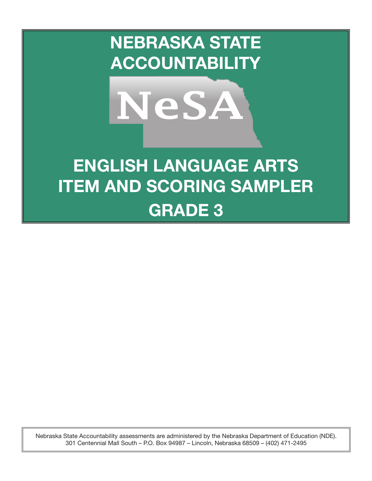# NEBRASKA STATE **ACCOUNTABILITY**

NeSA

# ENGLISH LANGUAGE ARTS ITEM AND SCORING SAMPLER GRADE 3

Nebraska State Accountability assessments are administered by the Nebraska Department of Education (NDE). 301 Centennial Mall South – P.O. Box 94987 – Lincoln, Nebraska 68509 – (402) 471-2495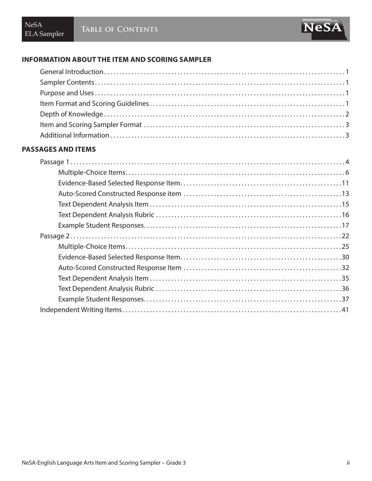### **[INFORMATION ABOUT THE ITEM AND SCORING SAMPLER](#page-2-0)**

### **[PASSAGES AND ITEMS](#page-5-0)**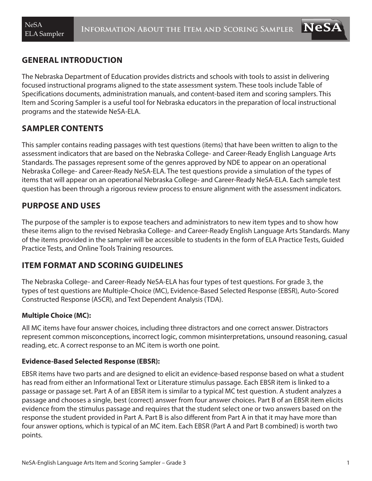# <span id="page-2-0"></span>**GENERAL INTRODUCTION**

The Nebraska Department of Education provides districts and schools with tools to assist in delivering focused instructional programs aligned to the state assessment system. These tools include Table of Specifications documents, administration manuals, and content-based item and scoring samplers. This Item and Scoring Sampler is a useful tool for Nebraska educators in the preparation of local instructional programs and the statewide NeSA-ELA.

# **SAMPLER CONTENTS**

This sampler contains reading passages with test questions (items) that have been written to align to the assessment indicators that are based on the Nebraska College- and Career-Ready English Language Arts Standards. The passages represent some of the genres approved by NDE to appear on an operational Nebraska College- and Career-Ready NeSA-ELA. The test questions provide a simulation of the types of items that will appear on an operational Nebraska College- and Career-Ready NeSA-ELA. Each sample test question has been through a rigorous review process to ensure alignment with the assessment indicators.

# **PURPOSE AND USES**

The purpose of the sampler is to expose teachers and administrators to new item types and to show how these items align to the revised Nebraska College- and Career-Ready English Language Arts Standards. Many of the items provided in the sampler will be accessible to students in the form of ELA Practice Tests, Guided Practice Tests, and Online Tools Training resources.

# **ITEM FORMAT AND SCORING GUIDELINES**

The Nebraska College- and Career-Ready NeSA-ELA has four types of test questions. For grade 3, the types of test questions are Multiple-Choice (MC), Evidence-Based Selected Response (EBSR), Auto-Scored Constructed Response (ASCR), and Text Dependent Analysis (TDA).

# **Multiple Choice (MC):**

All MC items have four answer choices, including three distractors and one correct answer. Distractors represent common misconceptions, incorrect logic, common misinterpretations, unsound reasoning, casual reading, etc. A correct response to an MC item is worth one point.

### **Evidence-Based Selected Response (EBSR):**

EBSR items have two parts and are designed to elicit an evidence-based response based on what a student has read from either an Informational Text or Literature stimulus passage. Each EBSR item is linked to a passage or passage set. Part A of an EBSR item is similar to a typical MC test question. A student analyzes a passage and chooses a single, best (correct) answer from four answer choices. Part B of an EBSR item elicits evidence from the stimulus passage and requires that the student select one or two answers based on the response the student provided in Part A. Part B is also different from Part A in that it may have more than four answer options, which is typical of an MC item. Each EBSR (Part A and Part B combined) is worth two points.

NeS.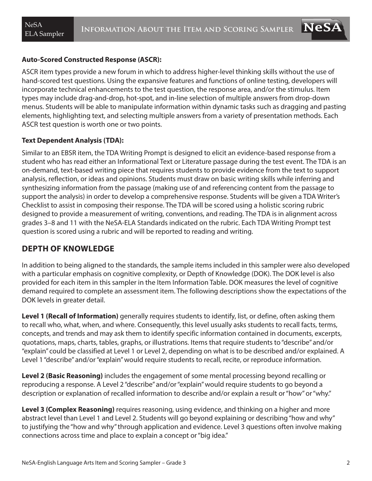### <span id="page-3-0"></span>**Auto-Scored Constructed Response (ASCR):**

ASCR item types provide a new forum in which to address higher-level thinking skills without the use of hand-scored test questions. Using the expansive features and functions of online testing, developers will incorporate technical enhancements to the test question, the response area, and/or the stimulus. Item types may include drag-and-drop, hot-spot, and in-line selection of multiple answers from drop-down menus. Students will be able to manipulate information within dynamic tasks such as dragging and pasting elements, highlighting text, and selecting multiple answers from a variety of presentation methods. Each ASCR test question is worth one or two points.

### **Text Dependent Analysis (TDA):**

Similar to an EBSR item, the TDA Writing Prompt is designed to elicit an evidence-based response from a student who has read either an Informational Text or Literature passage during the test event. The TDA is an on-demand, text-based writing piece that requires students to provide evidence from the text to support analysis, reflection, or ideas and opinions. Students must draw on basic writing skills while inferring and synthesizing information from the passage (making use of and referencing content from the passage to support the analysis) in order to develop a comprehensive response. Students will be given a TDA Writer's Checklist to assist in composing their response. The TDA will be scored using a holistic scoring rubric designed to provide a measurement of writing, conventions, and reading. The TDA is in alignment across grades 3–8 and 11 with the NeSA-ELA Standards indicated on the rubric. Each TDA Writing Prompt test question is scored using a rubric and will be reported to reading and writing.

# **DEPTH OF KNOWLEDGE**

In addition to being aligned to the standards, the sample items included in this sampler were also developed with a particular emphasis on cognitive complexity, or Depth of Knowledge (DOK). The DOK level is also provided for each item in this sampler in the Item Information Table. DOK measures the level of cognitive demand required to complete an assessment item. The following descriptions show the expectations of the DOK levels in greater detail.

**Level 1 (Recall of Information)** generally requires students to identify, list, or define, often asking them to recall who, what, when, and where. Consequently, this level usually asks students to recall facts, terms, concepts, and trends and may ask them to identify specific information contained in documents, excerpts, quotations, maps, charts, tables, graphs, or illustrations. Items that require students to "describe" and/or "explain" could be classified at Level 1 or Level 2, depending on what is to be described and/or explained. A Level 1 "describe" and/or "explain" would require students to recall, recite, or reproduce information.

**Level 2 (Basic Reasoning)** includes the engagement of some mental processing beyond recalling or reproducing a response. A Level 2 "describe" and/or "explain" would require students to go beyond a description or explanation of recalled information to describe and/or explain a result or "how" or "why."

**Level 3 (Complex Reasoning)** requires reasoning, using evidence, and thinking on a higher and more abstract level than Level 1 and Level 2. Students will go beyond explaining or describing "how and why" to justifying the "how and why" through application and evidence. Level 3 questions often involve making connections across time and place to explain a concept or "big idea."

**NeS**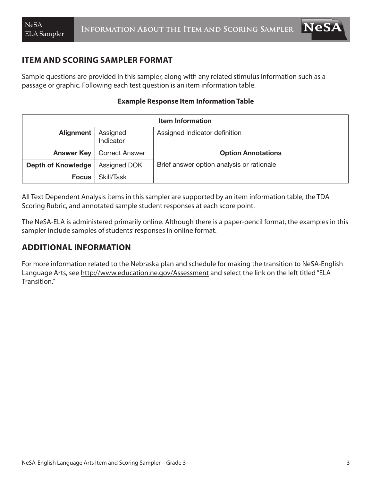# <span id="page-4-0"></span>**ITEM AND SCORING SAMPLER FORMAT**

Sample questions are provided in this sampler, along with any related stimulus information such as a passage or graphic. Following each test question is an item information table.

### **Example Response Item Information Table**

| <b>Item Information</b>   |                                    |                                           |
|---------------------------|------------------------------------|-------------------------------------------|
| Alignment                 | Assigned<br>Indicator              | Assigned indicator definition             |
|                           | <b>Answer Key   Correct Answer</b> | <b>Option Annotations</b>                 |
| <b>Depth of Knowledge</b> | Assigned DOK                       | Brief answer option analysis or rationale |
| <b>Focus</b>              | Skill/Task                         |                                           |

All Text Dependent Analysis items in this sampler are supported by an item information table, the TDA Scoring Rubric, and annotated sample student responses at each score point.

The NeSA-ELA is administered primarily online. Although there is a paper-pencil format, the examples in this sampler include samples of students' responses in online format.

# **ADDITIONAL INFORMATION**

For more information related to the Nebraska plan and schedule for making the transition to NeSA-English Language Arts, see <http://www.education.ne.gov/Assessment>and select the link on the left titled "ELA Transition."

NeS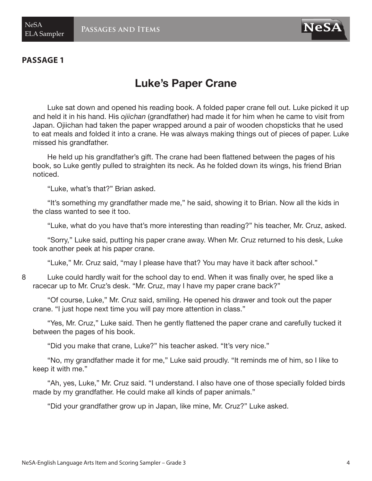# <span id="page-5-0"></span>**PASSAGE 1**

# Luke's Paper Crane

Luke sat down and opened his reading book. A folded paper crane fell out. Luke picked it up and held it in his hand. His *ojiichan* (grandfather) had made it for him when he came to visit from Japan. Ojiichan had taken the paper wrapped around a pair of wooden chopsticks that he used to eat meals and folded it into a crane. He was always making things out of pieces of paper. Luke missed his grandfather.

He held up his grandfather's gift. The crane had been flattened between the pages of his book, so Luke gently pulled to straighten its neck. As he folded down its wings, his friend Brian noticed.

"Luke, what's that?" Brian asked.

"It's something my grandfather made me," he said, showing it to Brian. Now all the kids in the class wanted to see it too.

"Luke, what do you have that's more interesting than reading?" his teacher, Mr. Cruz, asked.

"Sorry," Luke said, putting his paper crane away. When Mr. Cruz returned to his desk, Luke took another peek at his paper crane.

"Luke," Mr. Cruz said, "may I please have that? You may have it back after school."

8 Luke could hardly wait for the school day to end. When it was finally over, he sped like a racecar up to Mr. Cruz's desk. "Mr. Cruz, may I have my paper crane back?"

"Of course, Luke," Mr. Cruz said, smiling. He opened his drawer and took out the paper crane. "I just hope next time you will pay more attention in class."

"Yes, Mr. Cruz," Luke said. Then he gently flattened the paper crane and carefully tucked it between the pages of his book.

"Did you make that crane, Luke?" his teacher asked. "It's very nice."

"No, my grandfather made it for me," Luke said proudly. "It reminds me of him, so I like to keep it with me."

"Ah, yes, Luke," Mr. Cruz said. "I understand. I also have one of those specially folded birds made by my grandfather. He could make all kinds of paper animals."

"Did your grandfather grow up in Japan, like mine, Mr. Cruz?" Luke asked.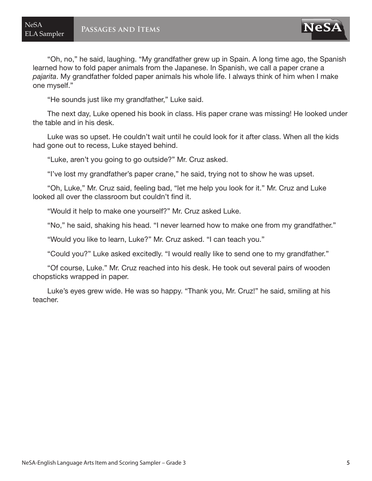"Oh, no," he said, laughing. "My grandfather grew up in Spain. A long time ago, the Spanish learned how to fold paper animals from the Japanese. In Spanish, we call a paper crane a *pajarita*. My grandfather folded paper animals his whole life. I always think of him when I make one myself."

"He sounds just like my grandfather," Luke said.

The next day, Luke opened his book in class. His paper crane was missing! He looked under the table and in his desk.

Luke was so upset. He couldn't wait until he could look for it after class. When all the kids had gone out to recess, Luke stayed behind.

"Luke, aren't you going to go outside?" Mr. Cruz asked.

"I've lost my grandfather's paper crane," he said, trying not to show he was upset.

"Oh, Luke," Mr. Cruz said, feeling bad, "let me help you look for it." Mr. Cruz and Luke looked all over the classroom but couldn't find it.

"Would it help to make one yourself?" Mr. Cruz asked Luke.

"No," he said, shaking his head. "I never learned how to make one from my grandfather."

"Would you like to learn, Luke?" Mr. Cruz asked. "I can teach you."

"Could you?" Luke asked excitedly. "I would really like to send one to my grandfather."

"Of course, Luke." Mr. Cruz reached into his desk. He took out several pairs of wooden chopsticks wrapped in paper.

Luke's eyes grew wide. He was so happy. "Thank you, Mr. Cruz!" he said, smiling at his teacher.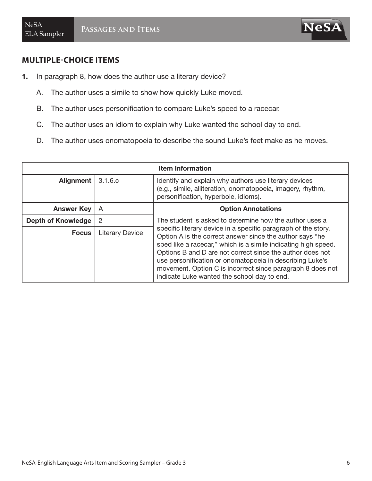

# <span id="page-7-0"></span>**MULTIPLE-CHOICE ITEMS**

- 1. In paragraph 8, how does the author use a literary device?
	- A. The author uses a simile to show how quickly Luke moved.
	- B. The author uses personification to compare Luke's speed to a racecar.
	- C. The author uses an idiom to explain why Luke wanted the school day to end.
	- D. The author uses onomatopoeia to describe the sound Luke's feet make as he moves.

| <b>Item Information</b>   |                        |                                                                                                                                                                                                                                                                                                                                                                                                                                    |
|---------------------------|------------------------|------------------------------------------------------------------------------------------------------------------------------------------------------------------------------------------------------------------------------------------------------------------------------------------------------------------------------------------------------------------------------------------------------------------------------------|
| <b>Alignment</b>          | 3.1.6.c                | Identify and explain why authors use literary devices<br>(e.g., simile, alliteration, onomatopoeia, imagery, rhythm,<br>personification, hyperbole, idioms).                                                                                                                                                                                                                                                                       |
| <b>Answer Key</b>         | A                      | <b>Option Annotations</b>                                                                                                                                                                                                                                                                                                                                                                                                          |
| <b>Depth of Knowledge</b> | 2                      | The student is asked to determine how the author uses a                                                                                                                                                                                                                                                                                                                                                                            |
| <b>Focus</b>              | <b>Literary Device</b> | specific literary device in a specific paragraph of the story.<br>Option A is the correct answer since the author says "he<br>sped like a racecar," which is a simile indicating high speed.<br>Options B and D are not correct since the author does not<br>use personification or onomatopoeia in describing Luke's<br>movement. Option C is incorrect since paragraph 8 does not<br>indicate Luke wanted the school day to end. |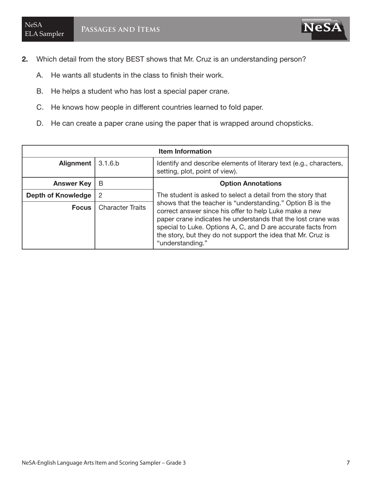

- 2. Which detail from the story BEST shows that Mr. Cruz is an understanding person?
	- A. He wants all students in the class to finish their work.
	- B. He helps a student who has lost a special paper crane.
	- C. He knows how people in different countries learned to fold paper.
	- D. He can create a paper crane using the paper that is wrapped around chopsticks.

| <b>Item Information</b>   |                         |                                                                                                                                                                                                                                                                                                                                          |
|---------------------------|-------------------------|------------------------------------------------------------------------------------------------------------------------------------------------------------------------------------------------------------------------------------------------------------------------------------------------------------------------------------------|
| Alignment                 | 3.1.6 b                 | Identify and describe elements of literary text (e.g., characters,<br>setting, plot, point of view).                                                                                                                                                                                                                                     |
| <b>Answer Key</b>         | В                       | <b>Option Annotations</b>                                                                                                                                                                                                                                                                                                                |
| <b>Depth of Knowledge</b> | 2                       | The student is asked to select a detail from the story that                                                                                                                                                                                                                                                                              |
| <b>Focus</b>              | <b>Character Traits</b> | shows that the teacher is "understanding." Option B is the<br>correct answer since his offer to help Luke make a new<br>paper crane indicates he understands that the lost crane was<br>special to Luke. Options A, C, and D are accurate facts from<br>the story, but they do not support the idea that Mr. Cruz is<br>"understanding." |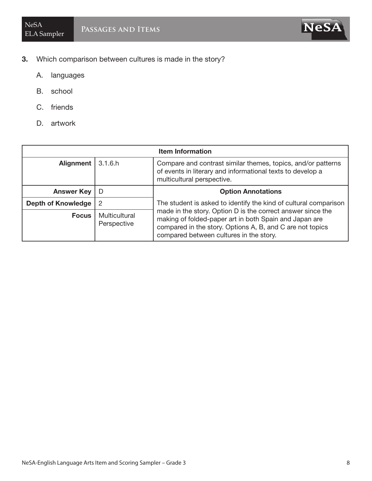- 3. Which comparison between cultures is made in the story?
	- A. languages
	- B. school
	- C. friends
	- D. artwork

| <b>Item Information</b>   |                              |                                                                                                                                                                                                                               |
|---------------------------|------------------------------|-------------------------------------------------------------------------------------------------------------------------------------------------------------------------------------------------------------------------------|
| <b>Alignment</b>          | 3.1.6 h                      | Compare and contrast similar themes, topics, and/or patterns<br>of events in literary and informational texts to develop a<br>multicultural perspective.                                                                      |
| <b>Answer Key</b>         | D                            | <b>Option Annotations</b>                                                                                                                                                                                                     |
| <b>Depth of Knowledge</b> | $\overline{2}$               | The student is asked to identify the kind of cultural comparison                                                                                                                                                              |
| <b>Focus</b>              | Multicultural<br>Perspective | made in the story. Option D is the correct answer since the<br>making of folded-paper art in both Spain and Japan are<br>compared in the story. Options A, B, and C are not topics<br>compared between cultures in the story. |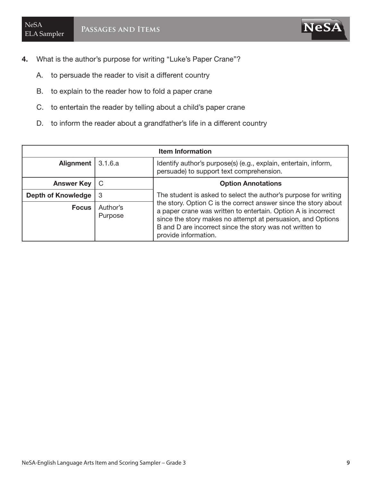- 4. What is the author's purpose for writing "Luke's Paper Crane"?
	- A. to persuade the reader to visit a different country
	- B. to explain to the reader how to fold a paper crane
	- C. to entertain the reader by telling about a child's paper crane
	- D. to inform the reader about a grandfather's life in a different country

| <b>Item Information</b>   |                     |                                                                                                                                                                                                                                                                                     |
|---------------------------|---------------------|-------------------------------------------------------------------------------------------------------------------------------------------------------------------------------------------------------------------------------------------------------------------------------------|
| <b>Alignment</b>          | 3.1.6.a             | Identify author's purpose(s) (e.g., explain, entertain, inform,<br>persuade) to support text comprehension.                                                                                                                                                                         |
| <b>Answer Key</b>         | C                   | <b>Option Annotations</b>                                                                                                                                                                                                                                                           |
| <b>Depth of Knowledge</b> | -3                  | The student is asked to select the author's purpose for writing                                                                                                                                                                                                                     |
| <b>Focus</b>              | Author's<br>Purpose | the story. Option C is the correct answer since the story about<br>a paper crane was written to entertain. Option A is incorrect<br>since the story makes no attempt at persuasion, and Options<br>B and D are incorrect since the story was not written to<br>provide information. |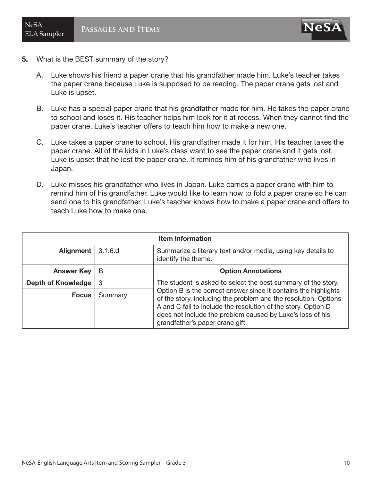$$
\overline{\text{Nesa}}
$$

- 5. What is the BEST summary of the story?
	- A. Luke shows his friend a paper crane that his grandfather made him. Luke's teacher takes the paper crane because Luke is supposed to be reading. The paper crane gets lost and Luke is upset.
	- B. Luke has a special paper crane that his grandfather made for him. He takes the paper crane to school and loses it. His teacher helps him look for it at recess. When they cannot find the paper crane, Luke's teacher offers to teach him how to make a new one.
	- C. Luke takes a paper crane to school. His grandfather made it for him. His teacher takes the paper crane. All of the kids in Luke's class want to see the paper crane and it gets lost. Luke is upset that he lost the paper crane. It reminds him of his grandfather who lives in Japan.
	- D. Luke misses his grandfather who lives in Japan. Luke carries a paper crane with him to remind him of his grandfather. Luke would like to learn how to fold a paper crane so he can send one to his grandfather. Luke's teacher knows how to make a paper crane and offers to teach Luke how to make one.

| <b>Item Information</b>   |         |                                                                                                                                                                                                                                                                                                     |
|---------------------------|---------|-----------------------------------------------------------------------------------------------------------------------------------------------------------------------------------------------------------------------------------------------------------------------------------------------------|
| <b>Alignment</b>          | 3.1.6.d | Summarize a literary text and/or media, using key details to<br>identify the theme.                                                                                                                                                                                                                 |
| <b>Answer Key</b>         | В       | <b>Option Annotations</b>                                                                                                                                                                                                                                                                           |
| <b>Depth of Knowledge</b> | -3      | The student is asked to select the best summary of the story.                                                                                                                                                                                                                                       |
| <b>Focus</b>              | Summary | Option B is the correct answer since it contains the highlights<br>of the story, including the problem and the resolution. Options<br>A and C fail to include the resolution of the story. Option D<br>does not include the problem caused by Luke's loss of his<br>grandfather's paper crane gift. |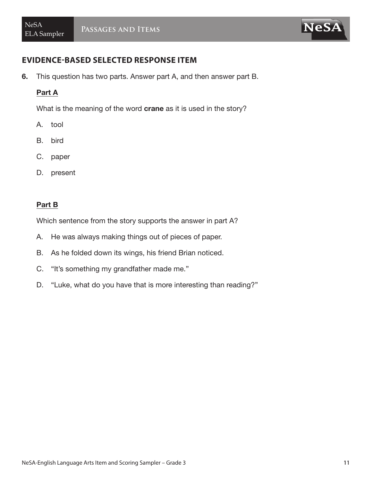$$
\overline{\text{NSA}}
$$

# <span id="page-12-0"></span>**EVIDENCE-BASED SELECTED RESPONSE ITEM**

6. This question has two parts. Answer part A, and then answer part B.

## Part A

What is the meaning of the word crane as it is used in the story?

- A. tool
- B. bird
- C. paper
- D. present

## Part B

Which sentence from the story supports the answer in part A?

- A. He was always making things out of pieces of paper.
- B. As he folded down its wings, his friend Brian noticed.
- C. "It's something my grandfather made me."
- D. "Luke, what do you have that is more interesting than reading?"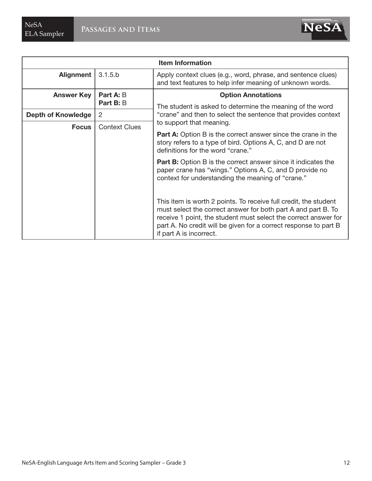

| <b>Item Information</b>   |                                                                                                                                                                                                                                                                                                     |                                                                                                                                                                          |
|---------------------------|-----------------------------------------------------------------------------------------------------------------------------------------------------------------------------------------------------------------------------------------------------------------------------------------------------|--------------------------------------------------------------------------------------------------------------------------------------------------------------------------|
| <b>Alignment</b>          | 3.1.5.b                                                                                                                                                                                                                                                                                             | Apply context clues (e.g., word, phrase, and sentence clues)<br>and text features to help infer meaning of unknown words.                                                |
| <b>Answer Key</b>         | Part A: B                                                                                                                                                                                                                                                                                           | <b>Option Annotations</b>                                                                                                                                                |
|                           | Part B: B                                                                                                                                                                                                                                                                                           | The student is asked to determine the meaning of the word                                                                                                                |
| <b>Depth of Knowledge</b> | 2                                                                                                                                                                                                                                                                                                   | "crane" and then to select the sentence that provides context                                                                                                            |
| <b>Focus</b>              | <b>Context Clues</b>                                                                                                                                                                                                                                                                                | to support that meaning.                                                                                                                                                 |
|                           |                                                                                                                                                                                                                                                                                                     | <b>Part A:</b> Option B is the correct answer since the crane in the<br>story refers to a type of bird. Options A, C, and D are not<br>definitions for the word "crane." |
|                           | <b>Part B:</b> Option B is the correct answer since it indicates the<br>paper crane has "wings." Options A, C, and D provide no<br>context for understanding the meaning of "crane."                                                                                                                |                                                                                                                                                                          |
|                           | This item is worth 2 points. To receive full credit, the student<br>must select the correct answer for both part A and part B. To<br>receive 1 point, the student must select the correct answer for<br>part A. No credit will be given for a correct response to part B<br>if part A is incorrect. |                                                                                                                                                                          |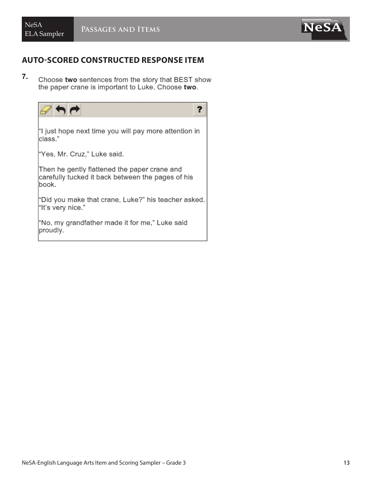# <span id="page-14-0"></span>**AUTO-SCORED CONSTRUCTED RESPONSE ITEM**

7.Choose two sentences from the story that BEST show<br>the paper crane is important to Luke. Choose two.

| "I just hope next time you will pay more attention in<br>class."                                           |
|------------------------------------------------------------------------------------------------------------|
| "Yes, Mr. Cruz," Luke said.                                                                                |
| Then he gently flattened the paper crane and<br>carefully tucked it back between the pages of his<br>book. |
| "Did you make that crane, Luke?" his teacher asked<br>"It's very nice."                                    |
| "No, my grandfather made it for me," Luke said<br>proudly.                                                 |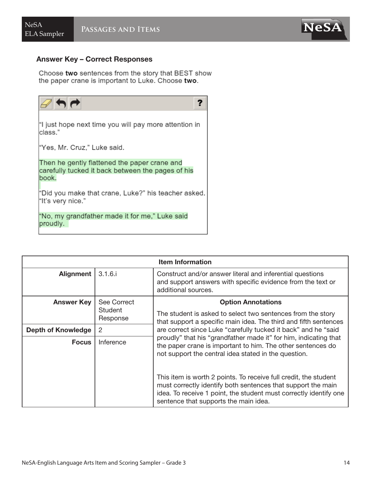

# Answer Key – Correct Responses

Choose two sentences from the story that BEST show<br>the paper crane is important to Luke. Choose two.

| カブ                                                                                                         |
|------------------------------------------------------------------------------------------------------------|
| "I just hope next time you will pay more attention in<br>class."                                           |
| "Yes, Mr. Cruz," Luke said.                                                                                |
| Then he gently flattened the paper crane and<br>carefully tucked it back between the pages of his<br>book. |
| "Did you make that crane, Luke?" his teacher asked.<br>"It's very nice."                                   |
| "No, my grandfather made it for me," Luke said<br>proudly.                                                 |

| <b>Item Information</b>   |                     |                                                                                                                                                                                                                                                |
|---------------------------|---------------------|------------------------------------------------------------------------------------------------------------------------------------------------------------------------------------------------------------------------------------------------|
| Alignment                 | 3.1.6.i             | Construct and/or answer literal and inferential questions<br>and support answers with specific evidence from the text or<br>additional sources.                                                                                                |
| <b>Answer Key</b>         | See Correct         | <b>Option Annotations</b>                                                                                                                                                                                                                      |
|                           | Student<br>Response | The student is asked to select two sentences from the story<br>that support a specific main idea. The third and fifth sentences                                                                                                                |
| <b>Depth of Knowledge</b> | 2                   | are correct since Luke "carefully tucked it back" and he "said                                                                                                                                                                                 |
| <b>Focus</b>              | Inference           | proudly" that his "grandfather made it" for him, indicating that<br>the paper crane is important to him. The other sentences do<br>not support the central idea stated in the question.                                                        |
|                           |                     | This item is worth 2 points. To receive full credit, the student<br>must correctly identify both sentences that support the main<br>idea. To receive 1 point, the student must correctly identify one<br>sentence that supports the main idea. |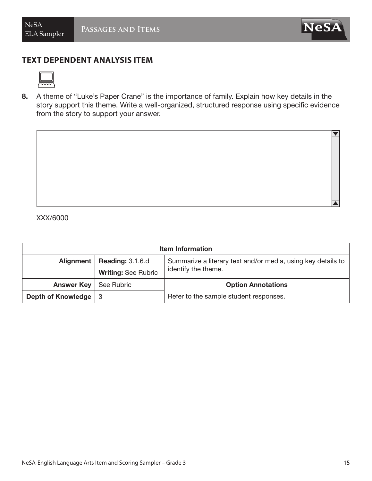NeS.

 $\overline{\blacktriangledown}$ 

 $\blacktriangle$ 

# <span id="page-16-0"></span>**TEXT DEPENDENT ANALYSIS ITEM**



8. A theme of "Luke's Paper Crane" is the importance of family. Explain how key details in the story support this theme. Write a well-organized, structured response using specific evidence from the story to support your answer.

XXX/6000

| <b>Item Information</b>        |                              |                                                              |  |
|--------------------------------|------------------------------|--------------------------------------------------------------|--|
|                                | Alignment   Reading: 3.1.6.d | Summarize a literary text and/or media, using key details to |  |
|                                | <b>Writing: See Rubric</b>   | identify the theme.                                          |  |
| <b>Answer Key   See Rubric</b> | <b>Option Annotations</b>    |                                                              |  |
| Depth of Knowledge             | - 3                          | Refer to the sample student responses.                       |  |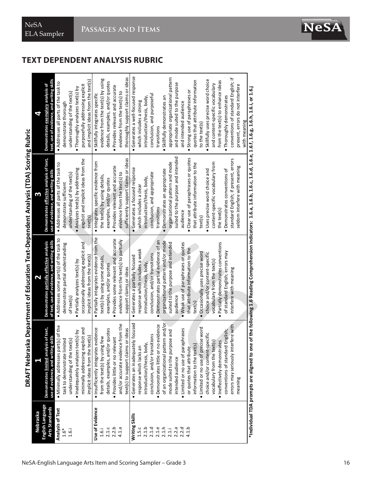# <span id="page-17-0"></span>**TEXT DEPENDENT ANALYSIS RUBRIC**

|                                    |                                                                                             | DRAFT Nebraska Department of Education Text-Dependent Analysis (TDA) Scoring Rubric                                                                                                                                          |                                                                            |                                                                                 |
|------------------------------------|---------------------------------------------------------------------------------------------|------------------------------------------------------------------------------------------------------------------------------------------------------------------------------------------------------------------------------|----------------------------------------------------------------------------|---------------------------------------------------------------------------------|
| <b>Nebraska</b>                    |                                                                                             |                                                                                                                                                                                                                              | ú                                                                          | S.                                                                              |
| English Language<br>Arts Standards | is of text,<br><b>g</b> skills<br>Demonstrates limited analy<br>ise of evidence, and writin | of text, use of evidence, and writing skills<br>Demonstrates partially effective analysis                                                                                                                                    | Demonstrates effective analysis of text,<br>of evidence, and writing skill | text, use of evidence, and writing skills<br>Demonstrates exemplary analysis of |
| Analysis of Text                   | • Minimally addresses part(s) of the                                                        | . Addresses some part(s) of the task to                                                                                                                                                                                      | . Addresses all parts of the task to                                       | . Addresses all parts of the task to                                            |
| $1.6*$                             | task to demonstrate limited                                                                 | demonstrate partial understanding                                                                                                                                                                                            | demonstrate sufficient                                                     | demonstrate thorough                                                            |
| 1.6.i                              | understanding of the text(s)                                                                | ot text(s                                                                                                                                                                                                                    | understanding of the text(s)                                               | understanding of the text(s)                                                    |
|                                    | · Inadequately analyzes text(s) by                                                          | Partially analyzes text(s) by                                                                                                                                                                                                | Analyzes text(s) by addressing                                             | $\bullet$ Thoroughly analyzes text(s) by                                        |
|                                    | minimally addressing explicit and                                                           | occasionally addressing explicit and                                                                                                                                                                                         | explicit and implicit ideas from the                                       | purposefully addressing explicit                                                |
|                                    | implicit ideas from the text(s)                                                             | implicit ideas from the text(s)                                                                                                                                                                                              | text(s)                                                                    | and implicit ideas from the text(s)                                             |
| Use of Evidence                    | · Insufficiently integrates evidence                                                        | Partially integrates evidence from the                                                                                                                                                                                       | · Integrates specific evidence from                                        | Skillfully integrates specific                                                  |
| 1.6.1                              | from the text(s) by using few                                                               | text(s) by using some details,                                                                                                                                                                                               | the text(s) by using details,                                              | evidence from the text(s) by using                                              |
| 2.1.c                              | details, examples, and/or quotes                                                            | examples, and/or quotes                                                                                                                                                                                                      | examples, and/or quotes                                                    | details, examples, and/or quotes                                                |
| 2.2.b                              | Provides little or no relevant                                                              | Provides some relevant and accurate                                                                                                                                                                                          | Provides relevant and accurate                                             | Provides relevant and accurate                                                  |
| 4.1.a                              | and/or accurate evidence from the                                                           | evidence from the text(s) to partially                                                                                                                                                                                       | evidence from the text(s) to                                               | evidence from the text(s) to                                                    |
|                                    | text(s) to support claims or ideas                                                          | support claims or ideas                                                                                                                                                                                                      | sufficiently support claims or ideas                                       | thoroughly support claims or ideas                                              |
| Writing Skills                     | Generates an inadequately focused                                                           | Generates a partially focused                                                                                                                                                                                                | Generates a focused response                                               | · Generates a well-focused response                                             |
| $1.5.c$<br>$2.1.b$                 | response which lacks an                                                                     | response which includes a weak                                                                                                                                                                                               | which includes a clear                                                     | which includes a strong                                                         |
|                                    | introduction/thesis, body,                                                                  | introduction/thesis, body,                                                                                                                                                                                                   | introduction/thesis, body,                                                 | introduction/thesis, body,                                                      |
| 2.1d                               | conclusion, and/or transitions                                                              | conclusion, and/or transitions                                                                                                                                                                                               | conclusion, and appropriate                                                | conclusion, and purposetul                                                      |
| 2.1.e                              | Demonstrates little or no evidence                                                          | Demonstrates partial evidence of an                                                                                                                                                                                          | transitions                                                                | transitions                                                                     |
| 2.1h                               | of an organizational pattern and/or                                                         | organizational pattern and/or mode                                                                                                                                                                                           | Demonstrates an appropriate                                                | Skillfully demonstrates an                                                      |
| 2.1                                | mode suited to the purpose and                                                              | suited to the purpose and intended                                                                                                                                                                                           | organizational pattern and mode                                            | appropriate organizational pattern                                              |
| 2.2a                               | intended audience                                                                           | audience                                                                                                                                                                                                                     | suited to the purpose and intended                                         | and mode suited to the purpose                                                  |
|                                    | aphrases<br>· Limited or no use of par                                                      | Weak use of paraphrases or quotes                                                                                                                                                                                            | audience                                                                   | and intended audience                                                           |
|                                    | or quotes that attribute                                                                    | that attribute information to the                                                                                                                                                                                            | Clear use of paraphrases or quotes                                         | Strong use of paraphrases or                                                    |
|                                    | information to the text(s)                                                                  | text(s)                                                                                                                                                                                                                      | that attribute information to the                                          | quotes that attribute information                                               |
|                                    | · Limited or no use of precise word                                                         | Occasionally uses precise word                                                                                                                                                                                               | text(s)                                                                    | to the text(s)                                                                  |
|                                    | choice and/or content-specific                                                              | choice and/or content-specific                                                                                                                                                                                               | · Uses precise word choice and                                             | Skillfully uses precise word choice                                             |
|                                    | vocabulary from the text(s)                                                                 | vocabulary from the text(s)                                                                                                                                                                                                  | content-specific vocabulary from                                           | and content-specific vocabulary                                                 |
|                                    | · Ineffectively demonstrates                                                                | Partially demonstrates conventions                                                                                                                                                                                           | the text(s)                                                                | from the text(s) to enhance ideas                                               |
|                                    | English<br>conventions of standard                                                          | of standard English; errors may                                                                                                                                                                                              | • Demonstrates conventions of                                              | Thoroughly demonstrates                                                         |
|                                    | errors may seriously interfere with                                                         | interfere with meaning                                                                                                                                                                                                       | standard English; if present, errors                                       | conventions of standard English; if                                             |
|                                    | meaning                                                                                     |                                                                                                                                                                                                                              | seldom interfere with meaning                                              | present, errors do not interfere                                                |
|                                    |                                                                                             |                                                                                                                                                                                                                              |                                                                            | with meaning                                                                    |
|                                    |                                                                                             | * Individual TDA prompts are aligned to one of the following 1.6 Reading Comprehension indicators:  1.6.a, 1.6.b, 1.6.c, 1.6.d, 1.6.d, 1.6.f, 1.6.g, 1.6.h, 1.6.g, 1.6.h, 1.6.d, 1.6.c, 1.6.f, 1.6.g, 1.6.h, 1.6.j, or 1.6.j |                                                                            |                                                                                 |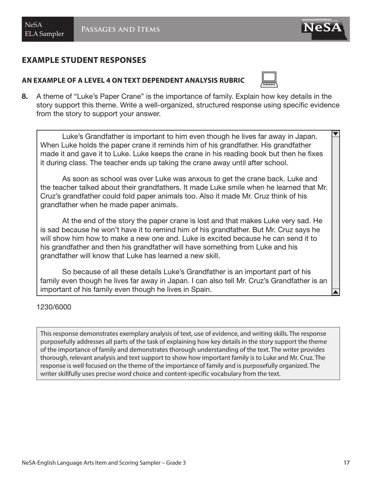$\overline{\blacktriangledown}$ 

 $\blacktriangle$ 

# <span id="page-18-0"></span>**EXAMPLE STUDENT RESPONSES**

## **AN EXAMPLE OF A LEVEL 4 ON TEXT DEPENDENT ANALYSIS RUBRIC**

8. A theme of "Luke's Paper Crane" is the importance of family. Explain how key details in the story support this theme. Write a well-organized, structured response using specific evidence from the story to support your answer.

Luke's Grandfather is important to him even though he lives far away in Japan. When Luke holds the paper crane it reminds him of his grandfather. His grandfather made it and gave it to Luke. Luke keeps the crane in his reading book but then he fixes it during class. The teacher ends up taking the crane away until after school.

As soon as school was over Luke was anxous to get the crane back. Luke and the teacher talked about their grandfathers. It made Luke smile when he learned that Mr. Cruz's grandfather could fold paper animals too. Also it made Mr. Cruz think of his grandfather when he made paper animals.

At the end of the story the paper crane is lost and that makes Luke very sad. He is sad because he won't have it to remind him of his grandfather. But Mr. Cruz says he will show him how to make a new one and. Luke is excited because he can send it to his grandfather and then his grandfather will have something from Luke and his grandfather will know that Luke has learned a new skill.

So because of all these details Luke's Grandfather is an important part of his family even though he lives far away in Japan. I can also tell Mr. Cruz's Grandfather is an important of his family even though he lives in Spain.

### 1230/6000

This response demonstrates exemplary analysis of text, use of evidence, and writing skills. The response purposefully addresses all parts of the task of explaining how key details in the story support the theme of the importance of family and demonstrates thorough understanding of the text. The writer provides thorough, relevant analysis and text support to show how important family is to Luke and Mr. Cruz. The response is well focused on the theme of the importance of family and is purposefully organized. The writer skillfully uses precise word choice and content-specific vocabulary from the text.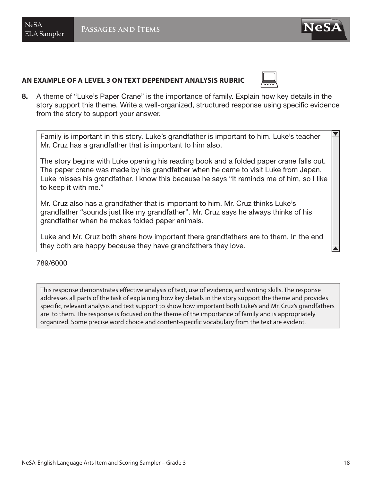$\overline{\blacktriangledown}$ 

 $\blacktriangle$ 

### **AN EXAMPLE OF A LEVEL 3 ON TEXT DEPENDENT ANALYSIS RUBRIC**

8. A theme of "Luke's Paper Crane" is the importance of family. Explain how key details in the story support this theme. Write a well-organized, structured response using specific evidence from the story to support your answer.

Family is important in this story. Luke's grandfather is important to him. Luke's teacher Mr. Cruz has a grandfather that is important to him also.

The story begins with Luke opening his reading book and a folded paper crane falls out. The paper crane was made by his grandfather when he came to visit Luke from Japan. Luke misses his grandfather. I know this because he says "It reminds me of him, so I like to keep it with me."

Mr. Cruz also has a grandfather that is important to him. Mr. Cruz thinks Luke's grandfather "sounds just like my grandfather". Mr. Cruz says he always thinks of his grandfather when he makes folded paper animals.

Luke and Mr. Cruz both share how important there grandfathers are to them. In the end they both are happy because they have grandfathers they love.

### 789/6000

This response demonstrates effective analysis of text, use of evidence, and writing skills. The response addresses all parts of the task of explaining how key details in the story support the theme and provides specific, relevant analysis and text support to show how important both Luke's and Mr. Cruz's grandfathers are to them. The response is focused on the theme of the importance of family and is appropriately organized. Some precise word choice and content-specific vocabulary from the text are evident.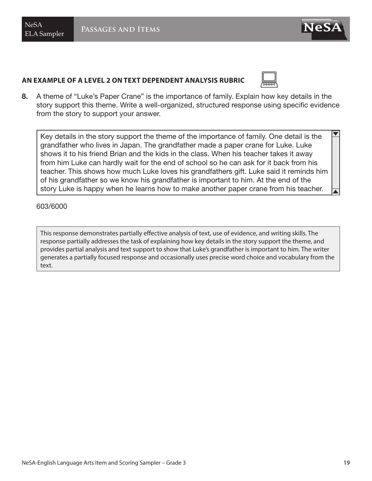# **AN EXAMPLE OF A LEVEL 2 ON TEXT DEPENDENT ANALYSIS RUBRIC**



**NeS** 

8. A theme of "Luke's Paper Crane" is the importance of family. Explain how key details in the story support this theme. Write a well-organized, structured response using specific evidence from the story to support your answer.

Key details in the story support the theme of the importance of family. One detail is the grandfather who lives in Japan. The grandfather made a paper crane for Luke. Luke shows it to his friend Brian and the kids in the class. When his teacher takes it away from him Luke can hardly wait for the end of school so he can ask for it back from his teacher. This shows how much Luke loves his grandfathers gift. Luke said it reminds him of his grandfather so we know his grandfather is important to him. At the end of the story Luke is happy when he learns how to make another paper crane from his teacher.  $\overline{\blacktriangledown}$  $\blacktriangle$ 

### 603/6000

This response demonstrates partially effective analysis of text, use of evidence, and writing skills. The response partially addresses the task of explaining how key details in the story support the theme, and provides partial analysis and text support to show that Luke's grandfather is important to him. The writer generates a partially focused response and occasionally uses precise word choice and vocabulary from the text.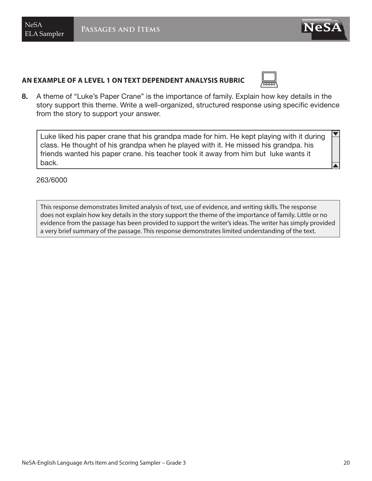ELA Sampler **Passages and Items**

# **AN EXAMPLE OF A LEVEL 1 ON TEXT DEPENDENT ANALYSIS RUBRIC**

8. A theme of "Luke's Paper Crane" is the importance of family. Explain how key details in the story support this theme. Write a well-organized, structured response using specific evidence from the story to support your answer.

Luke liked his paper crane that his grandpa made for him. He kept playing with it during class. He thought of his grandpa when he played with it. He missed his grandpa. his friends wanted his paper crane. his teacher took it away from him but luke wants it back.

263/6000

NeSA

This response demonstrates limited analysis of text, use of evidence, and writing skills. The response does not explain how key details in the story support the theme of the importance of family. Little or no evidence from the passage has been provided to support the writer's ideas. The writer has simply provided a very brief summary of the passage. This response demonstrates limited understanding of the text.



 $\overline{\blacktriangledown}$ 

 $\blacktriangle$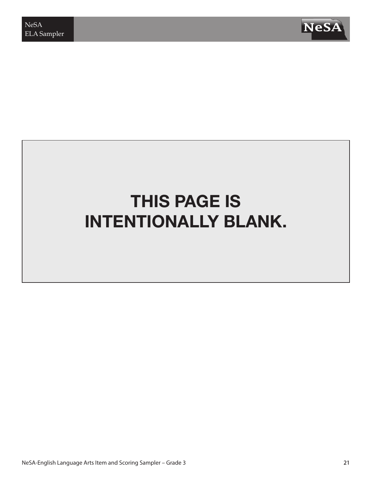

# THIS PAGE IS INTENTIONALLY BLANK.

NeSA-English Language Arts Item and Scoring Sampler – Grade 3 21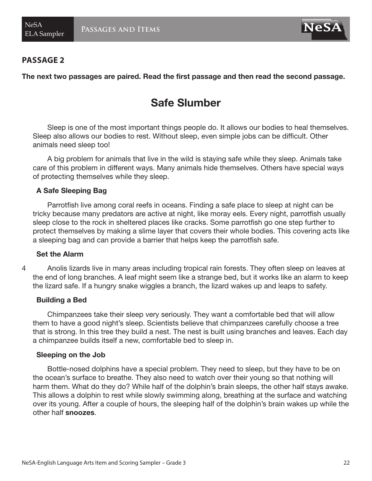$$
\overline{\text{Nesa}}
$$

# <span id="page-23-0"></span>**PASSAGE 2**

The next two passages are paired. Read the first passage and then read the second passage.

# Safe Slumber

Sleep is one of the most important things people do. It allows our bodies to heal themselves. Sleep also allows our bodies to rest. Without sleep, even simple jobs can be difficult. Other animals need sleep too!

A big problem for animals that live in the wild is staying safe while they sleep. Animals take care of this problem in different ways. Many animals hide themselves. Others have special ways of protecting themselves while they sleep.

## A Safe Sleeping Bag

Parrotfish live among coral reefs in oceans. Finding a safe place to sleep at night can be tricky because many predators are active at night, like moray eels. Every night, parrotfish usually sleep close to the rock in sheltered places like cracks. Some parrotfish go one step further to protect themselves by making a slime layer that covers their whole bodies. This covering acts like a sleeping bag and can provide a barrier that helps keep the parrotfish safe.

### Set the Alarm

4 Anolis lizards live in many areas including tropical rain forests. They often sleep on leaves at the end of long branches. A leaf might seem like a strange bed, but it works like an alarm to keep the lizard safe. If a hungry snake wiggles a branch, the lizard wakes up and leaps to safety.

### Building a Bed

Chimpanzees take their sleep very seriously. They want a comfortable bed that will allow them to have a good night's sleep. Scientists believe that chimpanzees carefully choose a tree that is strong. In this tree they build a nest. The nest is built using branches and leaves. Each day a chimpanzee builds itself a new, comfortable bed to sleep in.

### Sleeping on the Job

Bottle-nosed dolphins have a special problem. They need to sleep, but they have to be on the ocean's surface to breathe. They also need to watch over their young so that nothing will harm them. What do they do? While half of the dolphin's brain sleeps, the other half stays awake. This allows a dolphin to rest while slowly swimming along, breathing at the surface and watching over its young. After a couple of hours, the sleeping half of the dolphin's brain wakes up while the other half snoozes.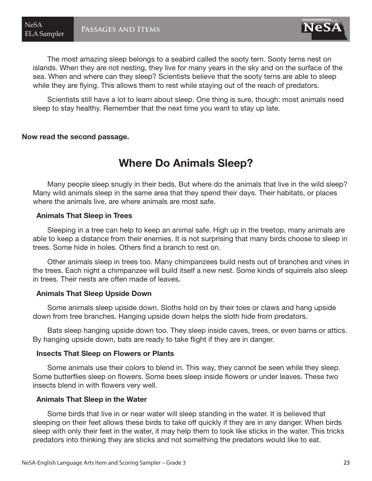The most amazing sleep belongs to a seabird called the sooty tern. Sooty terns nest on islands. When they are not nesting, they live for many years in the sky and on the surface of the sea. When and where can they sleep? Scientists believe that the sooty terns are able to sleep while they are flying. This allows them to rest while staying out of the reach of predators.

Scientists still have a lot to learn about sleep. One thing is sure, though: most animals need sleep to stay healthy. Remember that the next time you want to stay up late.

### Now read the second passage.

# Where Do Animals Sleep?

Many people sleep snugly in their beds. But where do the animals that live in the wild sleep? Many wild animals sleep in the same area that they spend their days. Their habitats, or places where the animals live, are where animals are most safe.

### Animals That Sleep in Trees

Sleeping in a tree can help to keep an animal safe. High up in the treetop, many animals are able to keep a distance from their enemies. It is not surprising that many birds choose to sleep in trees. Some hide in holes. Others find a branch to rest on.

Other animals sleep in trees too. Many chimpanzees build nests out of branches and vines in the trees. Each night a chimpanzee will build itself a new nest. Some kinds of squirrels also sleep in trees. Their nests are often made of leaves.

### Animals That Sleep Upside Down

Some animals sleep upside down. Sloths hold on by their toes or claws and hang upside down from tree branches. Hanging upside down helps the sloth hide from predators.

Bats sleep hanging upside down too. They sleep inside caves, trees, or even barns or attics. By hanging upside down, bats are ready to take flight if they are in danger.

### Insects That Sleep on Flowers or Plants

Some animals use their colors to blend in. This way, they cannot be seen while they sleep. Some butterflies sleep on flowers. Some bees sleep inside flowers or under leaves. These two insects blend in with flowers very well.

### Animals That Sleep in the Water

Some birds that live in or near water will sleep standing in the water. It is believed that sleeping on their feet allows these birds to take off quickly if they are in any danger. When birds sleep with only their feet in the water, it may help them to look like sticks in the water. This tricks predators into thinking they are sticks and not something the predators would like to eat.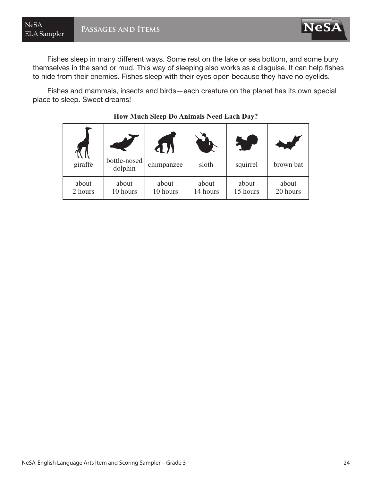Fishes sleep in many different ways. Some rest on the lake or sea bottom, and some bury themselves in the sand or mud. This way of sleeping also works as a disguise. It can help fishes to hide from their enemies. Fishes sleep with their eyes open because they have no eyelids.

Fishes and mammals, insects and birds—each creature on the planet has its own special place to sleep. Sweet dreams!

|                  |                         | <b>ATI</b>        |                   |                   |                   |
|------------------|-------------------------|-------------------|-------------------|-------------------|-------------------|
| giraffe          | bottle-nosed<br>dolphin | chimpanzee        | sloth             | squirrel          | brown bat         |
| about<br>2 hours | about<br>10 hours       | about<br>10 hours | about<br>14 hours | about<br>15 hours | about<br>20 hours |

### **How Much Sleep Do Animals Need Each Day?**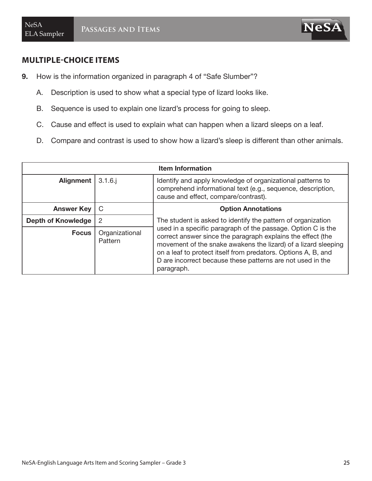

# <span id="page-26-0"></span>**MULTIPLE-CHOICE ITEMS**

- 9. How is the information organized in paragraph 4 of "Safe Slumber"?
	- A. Description is used to show what a special type of lizard looks like.
	- B. Sequence is used to explain one lizard's process for going to sleep.
	- C. Cause and effect is used to explain what can happen when a lizard sleeps on a leaf.
	- D. Compare and contrast is used to show how a lizard's sleep is different than other animals.

|                           |                           | <b>Item Information</b>                                                                                                                                                                                                                                                                                                                    |
|---------------------------|---------------------------|--------------------------------------------------------------------------------------------------------------------------------------------------------------------------------------------------------------------------------------------------------------------------------------------------------------------------------------------|
| Alignment                 | $3.1.6$ .                 | Identify and apply knowledge of organizational patterns to<br>comprehend informational text (e.g., sequence, description,<br>cause and effect, compare/contrast).                                                                                                                                                                          |
| <b>Answer Key</b>         | C                         | <b>Option Annotations</b>                                                                                                                                                                                                                                                                                                                  |
| <b>Depth of Knowledge</b> | 2                         | The student is asked to identify the pattern of organization                                                                                                                                                                                                                                                                               |
| <b>Focus</b>              | Organizational<br>Pattern | used in a specific paragraph of the passage. Option C is the<br>correct answer since the paragraph explains the effect (the<br>movement of the snake awakens the lizard) of a lizard sleeping<br>on a leaf to protect itself from predators. Options A, B, and<br>D are incorrect because these patterns are not used in the<br>paragraph. |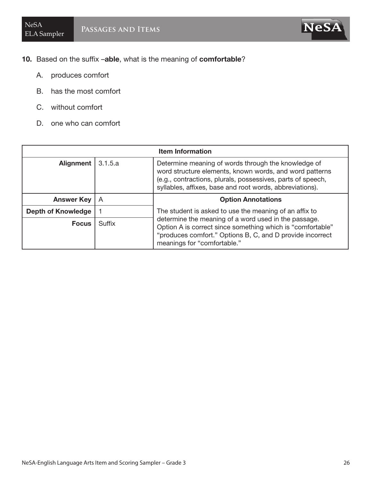- 10. Based on the suffix -able, what is the meaning of comfortable?
	- A. produces comfort
	- B. has the most comfort
	- C. without comfort
	- D. one who can comfort

| <b>Item Information</b>   |         |                                                                                                                                                                                                                                           |  |
|---------------------------|---------|-------------------------------------------------------------------------------------------------------------------------------------------------------------------------------------------------------------------------------------------|--|
| Alignment                 | 3.1.5.a | Determine meaning of words through the knowledge of<br>word structure elements, known words, and word patterns<br>(e.g., contractions, plurals, possessives, parts of speech,<br>syllables, affixes, base and root words, abbreviations). |  |
| <b>Answer Key</b>         | A       | <b>Option Annotations</b>                                                                                                                                                                                                                 |  |
| <b>Depth of Knowledge</b> |         | The student is asked to use the meaning of an affix to                                                                                                                                                                                    |  |
| <b>Focus</b>              | Suffix  | determine the meaning of a word used in the passage.<br>Option A is correct since something which is "comfortable"<br>"produces comfort." Options B, C, and D provide incorrect<br>meanings for "comfortable."                            |  |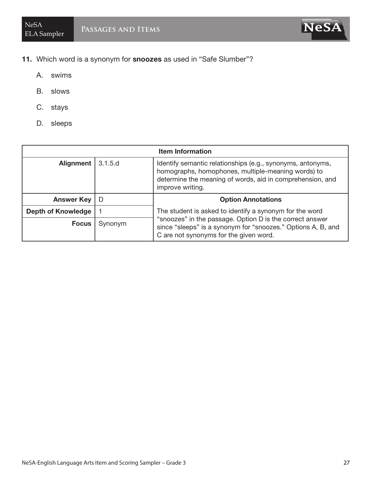- 11. Which word is a synonym for **snoozes** as used in "Safe Slumber"?
	- A. swims
	- B. slows
	- C. stays
	- D. sleeps

| <b>Item Information</b>   |         |                                                                                                                                                                                                   |
|---------------------------|---------|---------------------------------------------------------------------------------------------------------------------------------------------------------------------------------------------------|
| <b>Alignment</b>          | 3.1.5.d | Identify semantic relationships (e.g., synonyms, antonyms,<br>homographs, homophones, multiple-meaning words) to<br>determine the meaning of words, aid in comprehension, and<br>improve writing. |
| <b>Answer Key</b>         | D       | <b>Option Annotations</b>                                                                                                                                                                         |
| <b>Depth of Knowledge</b> |         | The student is asked to identify a synonym for the word                                                                                                                                           |
| <b>Focus</b>              | Synonym | "snoozes" in the passage. Option D is the correct answer<br>since "sleeps" is a synonym for "snoozes." Options A, B, and<br>C are not synonyms for the given word.                                |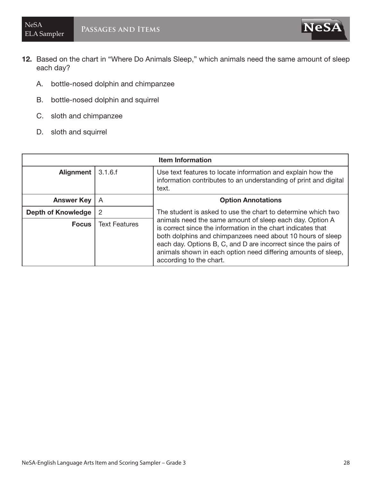- 12. Based on the chart in "Where Do Animals Sleep," which animals need the same amount of sleep each day?
	- A. bottle-nosed dolphin and chimpanzee
	- B. bottle-nosed dolphin and squirrel
	- C. sloth and chimpanzee
	- D. sloth and squirrel

| <b>Item Information</b>   |                      |                                                                                                                                                                                                                                                                                                                                                      |  |
|---------------------------|----------------------|------------------------------------------------------------------------------------------------------------------------------------------------------------------------------------------------------------------------------------------------------------------------------------------------------------------------------------------------------|--|
| Alignment                 | 3.1.6.f              | Use text features to locate information and explain how the<br>information contributes to an understanding of print and digital<br>text.                                                                                                                                                                                                             |  |
| <b>Answer Key</b>         | A                    | <b>Option Annotations</b>                                                                                                                                                                                                                                                                                                                            |  |
| <b>Depth of Knowledge</b> | $\overline{2}$       | The student is asked to use the chart to determine which two                                                                                                                                                                                                                                                                                         |  |
| <b>Focus</b>              | <b>Text Features</b> | animals need the same amount of sleep each day. Option A<br>is correct since the information in the chart indicates that<br>both dolphins and chimpanzees need about 10 hours of sleep<br>each day. Options B, C, and D are incorrect since the pairs of<br>animals shown in each option need differing amounts of sleep,<br>according to the chart. |  |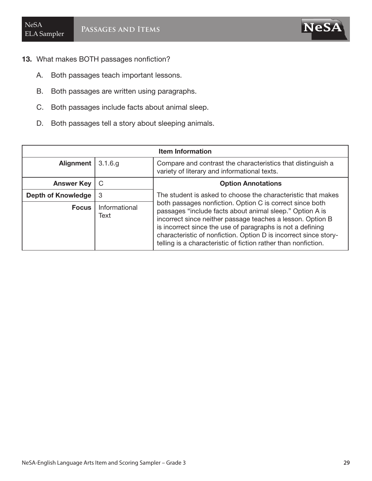- 13. What makes BOTH passages nonfiction?
	- A. Both passages teach important lessons.
	- B. Both passages are written using paragraphs.
	- C. Both passages include facts about animal sleep.
	- D. Both passages tell a story about sleeping animals.

|                           |                       | <b>Item Information</b>                                                                                                                                                                                                                                                                                                                                                                |  |
|---------------------------|-----------------------|----------------------------------------------------------------------------------------------------------------------------------------------------------------------------------------------------------------------------------------------------------------------------------------------------------------------------------------------------------------------------------------|--|
| Alignment                 | 3.1.6.9               | Compare and contrast the characteristics that distinguish a<br>variety of literary and informational texts.                                                                                                                                                                                                                                                                            |  |
| <b>Answer Key</b>         | C                     | <b>Option Annotations</b>                                                                                                                                                                                                                                                                                                                                                              |  |
| <b>Depth of Knowledge</b> | 3                     | The student is asked to choose the characteristic that makes                                                                                                                                                                                                                                                                                                                           |  |
| <b>Focus</b>              | Informational<br>Text | both passages nonfiction. Option C is correct since both<br>passages "include facts about animal sleep." Option A is<br>incorrect since neither passage teaches a lesson. Option B<br>is incorrect since the use of paragraphs is not a defining<br>characteristic of nonfiction. Option D is incorrect since story-<br>telling is a characteristic of fiction rather than nonfiction. |  |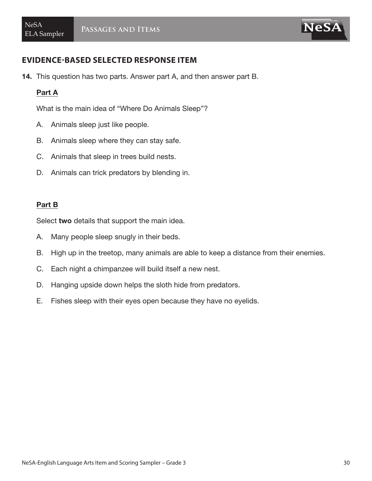

# <span id="page-31-0"></span>**EVIDENCE-BASED SELECTED RESPONSE ITEM**

14. This question has two parts. Answer part A, and then answer part B.

## Part A

What is the main idea of "Where Do Animals Sleep"?

- A. Animals sleep just like people.
- B. Animals sleep where they can stay safe.
- C. Animals that sleep in trees build nests.
- D. Animals can trick predators by blending in.

### Part B

Select two details that support the main idea.

- A. Many people sleep snugly in their beds.
- B. High up in the treetop, many animals are able to keep a distance from their enemies.
- C. Each night a chimpanzee will build itself a new nest.
- D. Hanging upside down helps the sloth hide from predators.
- E. Fishes sleep with their eyes open because they have no eyelids.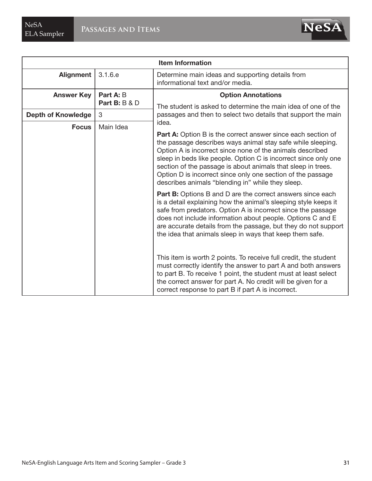

|                           |               | <b>Item Information</b>                                                                                                                                                                                                                                                                                                                                                                                                                                                                                                                                                                                                                                                                                                        |
|---------------------------|---------------|--------------------------------------------------------------------------------------------------------------------------------------------------------------------------------------------------------------------------------------------------------------------------------------------------------------------------------------------------------------------------------------------------------------------------------------------------------------------------------------------------------------------------------------------------------------------------------------------------------------------------------------------------------------------------------------------------------------------------------|
| <b>Alignment</b>          | 3.1.6.e       | Determine main ideas and supporting details from<br>informational text and/or media.                                                                                                                                                                                                                                                                                                                                                                                                                                                                                                                                                                                                                                           |
| <b>Answer Key</b>         | Part A: B     | <b>Option Annotations</b>                                                                                                                                                                                                                                                                                                                                                                                                                                                                                                                                                                                                                                                                                                      |
|                           | Part B: B & D | The student is asked to determine the main idea of one of the                                                                                                                                                                                                                                                                                                                                                                                                                                                                                                                                                                                                                                                                  |
| <b>Depth of Knowledge</b> | 3             | passages and then to select two details that support the main                                                                                                                                                                                                                                                                                                                                                                                                                                                                                                                                                                                                                                                                  |
| <b>Focus</b>              | Main Idea     | idea.<br><b>Part A:</b> Option B is the correct answer since each section of<br>the passage describes ways animal stay safe while sleeping.<br>Option A is incorrect since none of the animals described<br>sleep in beds like people. Option C is incorrect since only one<br>section of the passage is about animals that sleep in trees.<br>Option D is incorrect since only one section of the passage<br>describes animals "blending in" while they sleep.                                                                                                                                                                                                                                                                |
|                           |               | <b>Part B:</b> Options B and D are the correct answers since each<br>is a detail explaining how the animal's sleeping style keeps it<br>safe from predators. Option A is incorrect since the passage<br>does not include information about people. Options C and E<br>are accurate details from the passage, but they do not support<br>the idea that animals sleep in ways that keep them safe.<br>This item is worth 2 points. To receive full credit, the student<br>must correctly identify the answer to part A and both answers<br>to part B. To receive 1 point, the student must at least select<br>the correct answer for part A. No credit will be given for a<br>correct response to part B if part A is incorrect. |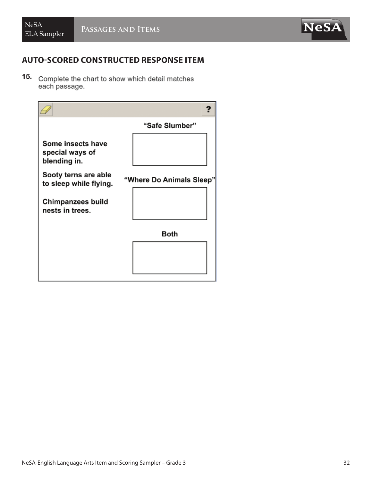<span id="page-33-0"></span>

# **AUTO-SCORED CONSTRUCTED RESPONSE ITEM**

15.Complete the chart to show which detail matches each passage.

|                                                      | "Safe Slumber"           |
|------------------------------------------------------|--------------------------|
| Some insects have<br>special ways of<br>blending in. |                          |
| Sooty terns are able<br>to sleep while flying.       | "Where Do Animals Sleep" |
| <b>Chimpanzees build</b><br>nests in trees.          |                          |
|                                                      | <b>Both</b>              |
|                                                      |                          |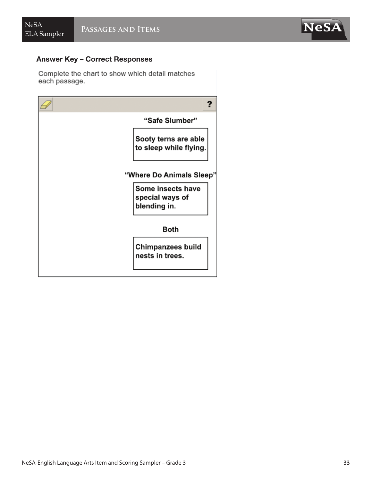

# Answer Key – Correct Responses

Complete the chart to show which detail matches each passage.

| "Safe Slumber"                                       |
|------------------------------------------------------|
| Sooty terns are able<br>to sleep while flying.       |
| "Where Do Animals Sleep"                             |
| Some insects have<br>special ways of<br>blending in. |
| Both                                                 |
| <b>Chimpanzees build</b><br>nests in trees.          |
|                                                      |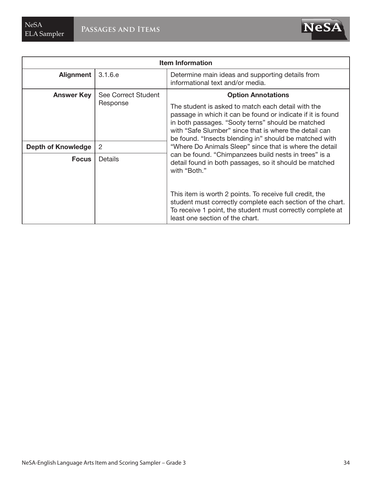|                           |                                 | <b>Item Information</b>                                                                                                                                                                                                                                                                                                 |
|---------------------------|---------------------------------|-------------------------------------------------------------------------------------------------------------------------------------------------------------------------------------------------------------------------------------------------------------------------------------------------------------------------|
| <b>Alignment</b>          | 3.1.6.e                         | Determine main ideas and supporting details from<br>informational text and/or media.                                                                                                                                                                                                                                    |
| <b>Answer Key</b>         | See Correct Student<br>Response | <b>Option Annotations</b><br>The student is asked to match each detail with the<br>passage in which it can be found or indicate if it is found<br>in both passages. "Sooty terns" should be matched<br>with "Safe Slumber" since that is where the detail can<br>be found. "Insects blending in" should be matched with |
| <b>Depth of Knowledge</b> | 2                               | "Where Do Animals Sleep" since that is where the detail                                                                                                                                                                                                                                                                 |
| <b>Focus</b>              | Details                         | can be found. "Chimpanzees build nests in trees" is a<br>detail found in both passages, so it should be matched<br>with "Both."                                                                                                                                                                                         |
|                           |                                 | This item is worth 2 points. To receive full credit, the<br>student must correctly complete each section of the chart.<br>To receive 1 point, the student must correctly complete at<br>least one section of the chart.                                                                                                 |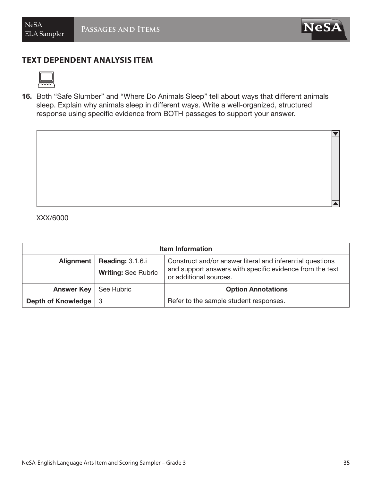NeS.

 $\overline{\blacktriangledown}$ 

 $\overline{\blacktriangle}$ 

# <span id="page-36-0"></span>**TEXT DEPENDENT ANALYSIS ITEM**



16. Both "Safe Slumber" and "Where Do Animals Sleep" tell about ways that different animals sleep. Explain why animals sleep in different ways. Write a well-organized, structured response using specific evidence from BOTH passages to support your answer.

XXX/6000

| <b>Item Information</b>   |                                                |                                                                                                                                                 |
|---------------------------|------------------------------------------------|-------------------------------------------------------------------------------------------------------------------------------------------------|
| Alignment                 | Reading: 3.1.6.i<br><b>Writing: See Rubric</b> | Construct and/or answer literal and inferential questions<br>and support answers with specific evidence from the text<br>or additional sources. |
| <b>Answer Key</b>         | See Rubric                                     | <b>Option Annotations</b>                                                                                                                       |
| <b>Depth of Knowledge</b> | -3                                             | Refer to the sample student responses.                                                                                                          |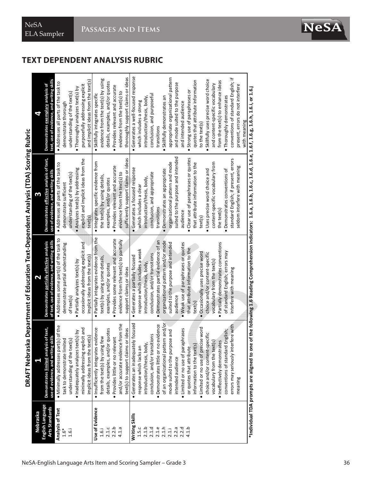# <span id="page-37-0"></span>**TEXT DEPENDENT ANALYSIS RUBRIC**

|                                    |                                                                                             | DRAFT Nebraska Department of Education Text-Dependent Analysis (TDA) Scoring Rubric                                                                                                                                          |                                                                            |                                                                                 |
|------------------------------------|---------------------------------------------------------------------------------------------|------------------------------------------------------------------------------------------------------------------------------------------------------------------------------------------------------------------------------|----------------------------------------------------------------------------|---------------------------------------------------------------------------------|
| <b>Nebraska</b>                    |                                                                                             |                                                                                                                                                                                                                              | ú                                                                          | S.                                                                              |
| English Language<br>Arts Standards | is of text,<br><b>g</b> skills<br>Demonstrates limited analy<br>ise of evidence, and writin | of text, use of evidence, and writing skills<br>Demonstrates partially effective analysis                                                                                                                                    | Demonstrates effective analysis of text,<br>of evidence, and writing skill | text, use of evidence, and writing skills<br>Demonstrates exemplary analysis of |
| Analysis of Text                   | • Minimally addresses part(s) of the                                                        | . Addresses some part(s) of the task to                                                                                                                                                                                      | . Addresses all parts of the task to                                       | . Addresses all parts of the task to                                            |
| $1.6*$                             | task to demonstrate limited                                                                 | demonstrate partial understanding                                                                                                                                                                                            | demonstrate sufficient                                                     | demonstrate thorough                                                            |
| 1.6.i                              | understanding of the text(s)                                                                | ot text(s                                                                                                                                                                                                                    | understanding of the text(s)                                               | understanding of the text(s)                                                    |
|                                    | · Inadequately analyzes text(s) by                                                          | Partially analyzes text(s) by                                                                                                                                                                                                | Analyzes text(s) by addressing                                             | $\bullet$ Thoroughly analyzes text(s) by                                        |
|                                    | minimally addressing explicit and                                                           | occasionally addressing explicit and                                                                                                                                                                                         | explicit and implicit ideas from the                                       | purposefully addressing explicit                                                |
|                                    | implicit ideas from the text(s)                                                             | implicit ideas from the text(s)                                                                                                                                                                                              | text(s)                                                                    | and implicit ideas from the text(s)                                             |
| Use of Evidence                    | · Insufficiently integrates evidence                                                        | Partially integrates evidence from the                                                                                                                                                                                       | · Integrates specific evidence from                                        | Skillfully integrates specific                                                  |
| 1.6.1                              | from the text(s) by using few                                                               | text(s) by using some details,                                                                                                                                                                                               | the text(s) by using details,                                              | evidence from the text(s) by using                                              |
| 2.1.c                              | details, examples, and/or quotes                                                            | examples, and/or quotes                                                                                                                                                                                                      | examples, and/or quotes                                                    | details, examples, and/or quotes                                                |
| 2.2.b                              | Provides little or no relevant                                                              | Provides some relevant and accurate                                                                                                                                                                                          | Provides relevant and accurate                                             | Provides relevant and accurate                                                  |
| 4.1.a                              | and/or accurate evidence from the                                                           | evidence from the text(s) to partially                                                                                                                                                                                       | evidence from the text(s) to                                               | evidence from the text(s) to                                                    |
|                                    | text(s) to support claims or ideas                                                          | support claims or ideas                                                                                                                                                                                                      | sufficiently support claims or ideas                                       | thoroughly support claims or ideas                                              |
| Writing Skills                     | Generates an inadequately focused                                                           | Generates a partially focused                                                                                                                                                                                                | Generates a focused response                                               | · Generates a well-focused response                                             |
| $1.5.c$<br>$2.1.b$                 | response which lacks an                                                                     | response which includes a weak                                                                                                                                                                                               | which includes a clear                                                     | which includes a strong                                                         |
|                                    | introduction/thesis, body,                                                                  | introduction/thesis, body,                                                                                                                                                                                                   | introduction/thesis, body,                                                 | introduction/thesis, body,                                                      |
| 2.1d                               | conclusion, and/or transitions                                                              | conclusion, and/or transitions                                                                                                                                                                                               | conclusion, and appropriate                                                | conclusion, and purposetul                                                      |
| 2.1.e                              | Demonstrates little or no evidence                                                          | Demonstrates partial evidence of an                                                                                                                                                                                          | transitions                                                                | transitions                                                                     |
| 2.1h                               | of an organizational pattern and/or                                                         | organizational pattern and/or mode                                                                                                                                                                                           | Demonstrates an appropriate                                                | Skillfully demonstrates an                                                      |
| 2.1                                | mode suited to the purpose and                                                              | suited to the purpose and intended                                                                                                                                                                                           | organizational pattern and mode                                            | appropriate organizational pattern                                              |
| 2.2a                               | intended audience                                                                           | audience                                                                                                                                                                                                                     | suited to the purpose and intended                                         | and mode suited to the purpose                                                  |
|                                    | aphrases<br>· Limited or no use of par                                                      | Weak use of paraphrases or quotes                                                                                                                                                                                            | audience                                                                   | and intended audience                                                           |
|                                    | or quotes that attribute                                                                    | that attribute information to the                                                                                                                                                                                            | Clear use of paraphrases or quotes                                         | Strong use of paraphrases or                                                    |
|                                    | information to the text(s)                                                                  | text(s)                                                                                                                                                                                                                      | that attribute information to the                                          | quotes that attribute information                                               |
|                                    | · Limited or no use of precise word                                                         | Occasionally uses precise word                                                                                                                                                                                               | text(s)                                                                    | to the text(s)                                                                  |
|                                    | choice and/or content-specific                                                              | choice and/or content-specific                                                                                                                                                                                               | · Uses precise word choice and                                             | Skillfully uses precise word choice                                             |
|                                    | vocabulary from the text(s)                                                                 | vocabulary from the text(s)                                                                                                                                                                                                  | content-specific vocabulary from                                           | and content-specific vocabulary                                                 |
|                                    | · Ineffectively demonstrates                                                                | Partially demonstrates conventions                                                                                                                                                                                           | the text(s)                                                                | from the text(s) to enhance ideas                                               |
|                                    | English<br>conventions of standard                                                          | of standard English; errors may                                                                                                                                                                                              | • Demonstrates conventions of                                              | Thoroughly demonstrates                                                         |
|                                    | errors may seriously interfere with                                                         | interfere with meaning                                                                                                                                                                                                       | standard English; if present, errors                                       | conventions of standard English; if                                             |
|                                    | meaning                                                                                     |                                                                                                                                                                                                                              | seldom interfere with meaning                                              | present, errors do not interfere                                                |
|                                    |                                                                                             |                                                                                                                                                                                                                              |                                                                            | with meaning                                                                    |
|                                    |                                                                                             | * Individual TDA prompts are aligned to one of the following 1.6 Reading Comprehension indicators:  1.6.a, 1.6.b, 1.6.c, 1.6.d, 1.6.d, 1.6.f, 1.6.g, 1.6.h, 1.6.g, 1.6.h, 1.6.d, 1.6.c, 1.6.f, 1.6.g, 1.6.h, 1.6.j, or 1.6.j |                                                                            |                                                                                 |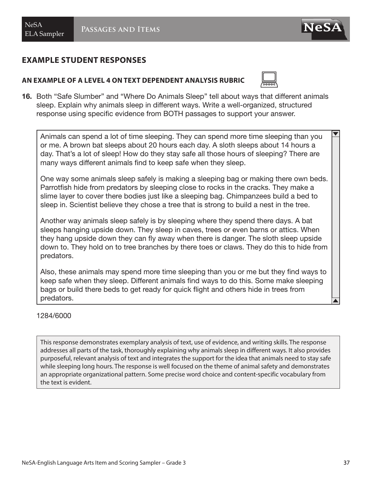$\overline{\blacktriangledown}$ 

 $\overline{\blacktriangle}$ 

# <span id="page-38-0"></span>**EXAMPLE STUDENT RESPONSES**

### **AN EXAMPLE OF A LEVEL 4 ON TEXT DEPENDENT ANALYSIS RUBRIC**

16. Both "Safe Slumber" and "Where Do Animals Sleep" tell about ways that different animals sleep. Explain why animals sleep in different ways. Write a well-organized, structured response using specific evidence from BOTH passages to support your answer.

Animals can spend a lot of time sleeping. They can spend more time sleeping than you or me. A brown bat sleeps about 20 hours each day. A sloth sleeps about 14 hours a day. That's a lot of sleep! How do they stay safe all those hours of sleeping? There are many ways different animals find to keep safe when they sleep.

One way some animals sleep safely is making a sleeping bag or making there own beds. Parrotfish hide from predators by sleeping close to rocks in the cracks. They make a slime layer to cover there bodies just like a sleeping bag. Chimpanzees build a bed to sleep in. Scientist believe they chose a tree that is strong to build a nest in the tree.

Another way animals sleep safely is by sleeping where they spend there days. A bat sleeps hanging upside down. They sleep in caves, trees or even barns or attics. When they hang upside down they can fly away when there is danger. The sloth sleep upside down to. They hold on to tree branches by there toes or claws. They do this to hide from predators.

Also, these animals may spend more time sleeping than you or me but they find ways to keep safe when they sleep. Different animals find ways to do this. Some make sleeping bags or build there beds to get ready for quick flight and others hide in trees from predators.

1284/6000

This response demonstrates exemplary analysis of text, use of evidence, and writing skills. The response addresses all parts of the task, thoroughly explaining why animals sleep in different ways. It also provides purposeful, relevant analysis of text and integrates the support for the idea that animals need to stay safe while sleeping long hours. The response is well focused on the theme of animal safety and demonstrates an appropriate organizational pattern. Some precise word choice and content-specific vocabulary from the text is evident.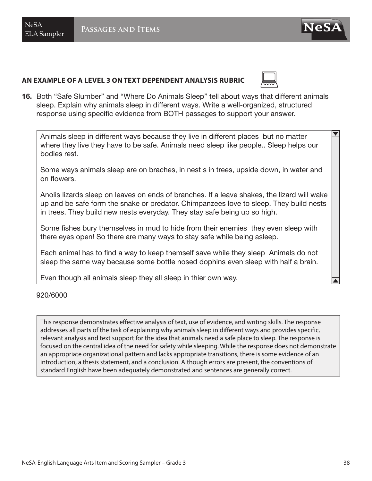$\overline{\blacktriangledown}$ 

 $\overline{\blacktriangle}$ 

### **AN EXAMPLE OF A LEVEL 3 ON TEXT DEPENDENT ANALYSIS RUBRIC**

16. Both "Safe Slumber" and "Where Do Animals Sleep" tell about ways that different animals sleep. Explain why animals sleep in different ways. Write a well-organized, structured response using specific evidence from BOTH passages to support your answer.

Animals sleep in different ways because they live in different places but no matter where they live they have to be safe. Animals need sleep like people.. Sleep helps our bodies rest.

Some ways animals sleep are on braches, in nest s in trees, upside down, in water and on flowers.

Anolis lizards sleep on leaves on ends of branches. If a leave shakes, the lizard will wake up and be safe form the snake or predator. Chimpanzees love to sleep. They build nests in trees. They build new nests everyday. They stay safe being up so high.

Some fishes bury themselves in mud to hide from their enemies they even sleep with there eyes open! So there are many ways to stay safe while being asleep.

Each animal has to find a way to keep themself save while they sleep Animals do not sleep the same way because some bottle nosed dophins even sleep with half a brain.

Even though all animals sleep they all sleep in thier own way.

### 920/6000

This response demonstrates effective analysis of text, use of evidence, and writing skills. The response addresses all parts of the task of explaining why animals sleep in different ways and provides specific, relevant analysis and text support for the idea that animals need a safe place to sleep. The response is focused on the central idea of the need for safety while sleeping. While the response does not demonstrate an appropriate organizational pattern and lacks appropriate transitions, there is some evidence of an introduction, a thesis statement, and a conclusion. Although errors are present, the conventions of standard English have been adequately demonstrated and sentences are generally correct.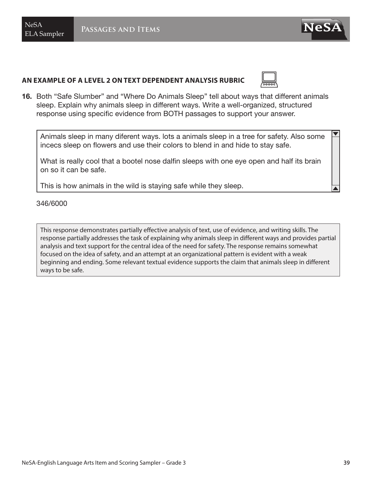16. Both "Safe Slumber" and "Where Do Animals Sleep" tell about ways that different animals sleep. Explain why animals sleep in different ways. Write a well-organized, structured response using specific evidence from BOTH passages to support your answer.

Animals sleep in many diferent ways. lots a animals sleep in a tree for safety. Also some incecs sleep on flowers and use their colors to blend in and hide to stay safe.

What is really cool that a bootel nose dalfin sleeps with one eye open and half its brain on so it can be safe.

This is how animals in the wild is staying safe while they sleep.

346/6000

This response demonstrates partially effective analysis of text, use of evidence, and writing skills. The response partially addresses the task of explaining why animals sleep in different ways and provides partial analysis and text support for the central idea of the need for safety. The response remains somewhat focused on the idea of safety, and an attempt at an organizational pattern is evident with a weak beginning and ending. Some relevant textual evidence supports the claim that animals sleep in different ways to be safe.

 $\overline{\blacktriangledown}$ 

NeS.

 $\blacktriangle$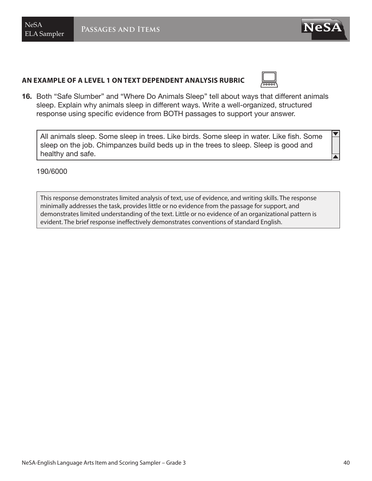### **AN EXAMPLE OF A LEVEL 1 ON TEXT DEPENDENT ANALYSIS RUBRIC**

16. Both "Safe Slumber" and "Where Do Animals Sleep" tell about ways that different animals sleep. Explain why animals sleep in different ways. Write a well-organized, structured response using specific evidence from BOTH passages to support your answer.

All animals sleep. Some sleep in trees. Like birds. Some sleep in water. Like fish. Some sleep on the job. Chimpanzes build beds up in the trees to sleep. Sleep is good and healthy and safe.  $\overline{\blacktriangledown}$  $\overline{\blacktriangle}$ 

190/6000

This response demonstrates limited analysis of text, use of evidence, and writing skills. The response minimally addresses the task, provides little or no evidence from the passage for support, and demonstrates limited understanding of the text. Little or no evidence of an organizational pattern is evident. The brief response ineffectively demonstrates conventions of standard English.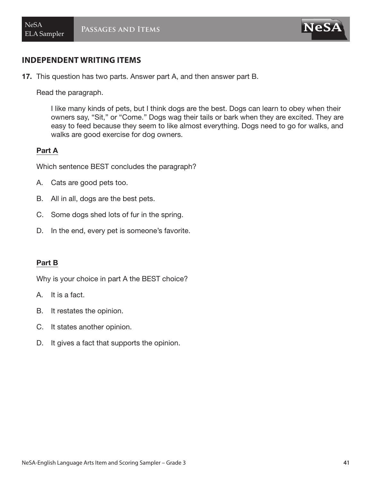

# <span id="page-42-0"></span>**INDEPENDENT WRITING ITEMS**

17. This question has two parts. Answer part A, and then answer part B.

Read the paragraph.

I like many kinds of pets, but I think dogs are the best. Dogs can learn to obey when their owners say, "Sit," or "Come." Dogs wag their tails or bark when they are excited. They are easy to feed because they seem to like almost everything. Dogs need to go for walks, and walks are good exercise for dog owners.

### Part A

Which sentence BEST concludes the paragraph?

- A. Cats are good pets too.
- B. All in all, dogs are the best pets.
- C. Some dogs shed lots of fur in the spring.
- D. In the end, every pet is someone's favorite.

### Part B

Why is your choice in part A the BEST choice?

- A. It is a fact.
- B. It restates the opinion.
- C. It states another opinion.
- D. It gives a fact that supports the opinion.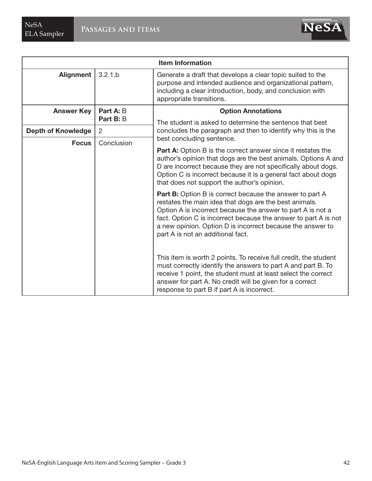|                            |                                                                                                                                                                                                                                                                                                                                                         | <b>Item Information</b>                                                                                                                                                                                                                                                                                                |
|----------------------------|---------------------------------------------------------------------------------------------------------------------------------------------------------------------------------------------------------------------------------------------------------------------------------------------------------------------------------------------------------|------------------------------------------------------------------------------------------------------------------------------------------------------------------------------------------------------------------------------------------------------------------------------------------------------------------------|
| <b>Alignment</b>           | 3.2.1.b                                                                                                                                                                                                                                                                                                                                                 | Generate a draft that develops a clear topic suited to the<br>purpose and intended audience and organizational pattern,<br>including a clear introduction, body, and conclusion with<br>appropriate transitions.                                                                                                       |
| <b>Answer Key</b>          | Part A: B<br>Part B: B                                                                                                                                                                                                                                                                                                                                  | <b>Option Annotations</b>                                                                                                                                                                                                                                                                                              |
| <b>Depth of Knowledge</b>  | $\overline{2}$                                                                                                                                                                                                                                                                                                                                          | The student is asked to determine the sentence that best<br>concludes the paragraph and then to identify why this is the                                                                                                                                                                                               |
| Conclusion<br><b>Focus</b> | best concluding sentence.                                                                                                                                                                                                                                                                                                                               |                                                                                                                                                                                                                                                                                                                        |
|                            |                                                                                                                                                                                                                                                                                                                                                         | <b>Part A:</b> Option B is the correct answer since it restates the<br>author's opinion that dogs are the best animals. Options A and<br>D are incorrect because they are not specifically about dogs.<br>Option C is incorrect because it is a general fact about dogs<br>that does not support the author's opinion. |
|                            | Part B: Option B is correct because the answer to part A<br>restates the main idea that dogs are the best animals.<br>Option A is incorrect because the answer to part A is not a<br>fact. Option C is incorrect because the answer to part A is not<br>a new opinion. Option D is incorrect because the answer to<br>part A is not an additional fact. |                                                                                                                                                                                                                                                                                                                        |
|                            |                                                                                                                                                                                                                                                                                                                                                         | This item is worth 2 points. To receive full credit, the student<br>must correctly identify the answers to part A and part B. To<br>receive 1 point, the student must at least select the correct<br>answer for part A. No credit will be given for a correct<br>response to part B if part A is incorrect.            |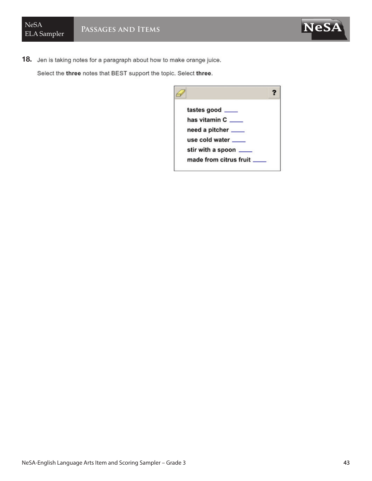18. Jen is taking notes for a paragraph about how to make orange juice.

Select the three notes that BEST support the topic. Select three.

| tastes good _____      |
|------------------------|
| has vitamin C          |
| need a pitcher ____    |
| use cold water __      |
| stir with a spoon _    |
| made from citrus fruit |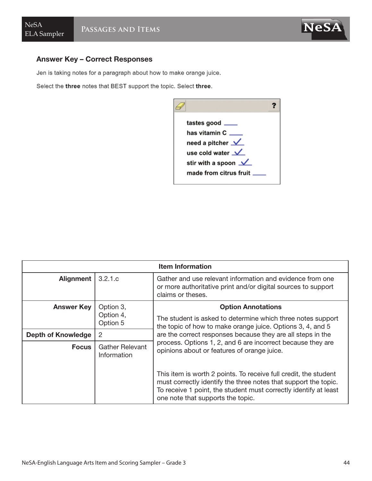## Answer Key – Correct Responses

Jen is taking notes for a paragraph about how to make orange juice.

Select the three notes that BEST support the topic. Select three.

| tastes good __<br>has vitamin C<br>need a pitcher $\sqrt{}$<br>use cold water $\sqrt{}$<br>stir with a spoon $\sqrt{}$<br>made from citrus fruit |  |
|--------------------------------------------------------------------------------------------------------------------------------------------------|--|

|                           |                                       | <b>Item Information</b>                                                                                                                                                                                                                      |
|---------------------------|---------------------------------------|----------------------------------------------------------------------------------------------------------------------------------------------------------------------------------------------------------------------------------------------|
| <b>Alignment</b>          | 3.2.1.c                               | Gather and use relevant information and evidence from one<br>or more authoritative print and/or digital sources to support<br>claims or theses.                                                                                              |
| <b>Answer Key</b>         | Option 3,                             | <b>Option Annotations</b>                                                                                                                                                                                                                    |
|                           | Option 4,<br>Option 5                 | The student is asked to determine which three notes support<br>the topic of how to make orange juice. Options 3, 4, and 5                                                                                                                    |
| <b>Depth of Knowledge</b> | 2                                     | are the correct responses because they are all steps in the<br>process. Options 1, 2, and 6 are incorrect because they are<br>opinions about or features of orange juice.                                                                    |
| <b>Focus</b>              | <b>Gather Relevant</b><br>Information |                                                                                                                                                                                                                                              |
|                           |                                       | This item is worth 2 points. To receive full credit, the student<br>must correctly identify the three notes that support the topic.<br>To receive 1 point, the student must correctly identify at least<br>one note that supports the topic. |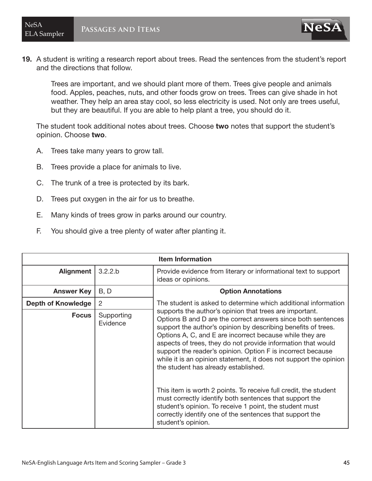19. A student is writing a research report about trees. Read the sentences from the student's report and the directions that follow.

Trees are important, and we should plant more of them. Trees give people and animals food. Apples, peaches, nuts, and other foods grow on trees. Trees can give shade in hot weather. They help an area stay cool, so less electricity is used. Not only are trees useful, but they are beautiful. If you are able to help plant a tree, you should do it.

The student took additional notes about trees. Choose two notes that support the student's opinion. Choose two.

- A. Trees take many years to grow tall.
- B. Trees provide a place for animals to live.
- C. The trunk of a tree is protected by its bark.
- D. Trees put oxygen in the air for us to breathe.
- E. Many kinds of trees grow in parks around our country.
- F. You should give a tree plenty of water after planting it.

| <b>Item Information</b>   |                        |                                                                                                                                                                                                                                                                                                                                                                                                                                                                                                                                                                                                                                                                                                                                                                              |
|---------------------------|------------------------|------------------------------------------------------------------------------------------------------------------------------------------------------------------------------------------------------------------------------------------------------------------------------------------------------------------------------------------------------------------------------------------------------------------------------------------------------------------------------------------------------------------------------------------------------------------------------------------------------------------------------------------------------------------------------------------------------------------------------------------------------------------------------|
| <b>Alignment</b>          | 3.2.2.b                | Provide evidence from literary or informational text to support<br>ideas or opinions.                                                                                                                                                                                                                                                                                                                                                                                                                                                                                                                                                                                                                                                                                        |
| <b>Answer Key</b>         | B, D                   | <b>Option Annotations</b>                                                                                                                                                                                                                                                                                                                                                                                                                                                                                                                                                                                                                                                                                                                                                    |
| <b>Depth of Knowledge</b> | 2                      | The student is asked to determine which additional information                                                                                                                                                                                                                                                                                                                                                                                                                                                                                                                                                                                                                                                                                                               |
| <b>Focus</b>              | Supporting<br>Evidence | supports the author's opinion that trees are important.<br>Options B and D are the correct answers since both sentences<br>support the author's opinion by describing benefits of trees.<br>Options A, C, and E are incorrect because while they are<br>aspects of trees, they do not provide information that would<br>support the reader's opinion. Option F is incorrect because<br>while it is an opinion statement, it does not support the opinion<br>the student has already established.<br>This item is worth 2 points. To receive full credit, the student<br>must correctly identify both sentences that support the<br>student's opinion. To receive 1 point, the student must<br>correctly identify one of the sentences that support the<br>student's opinion. |